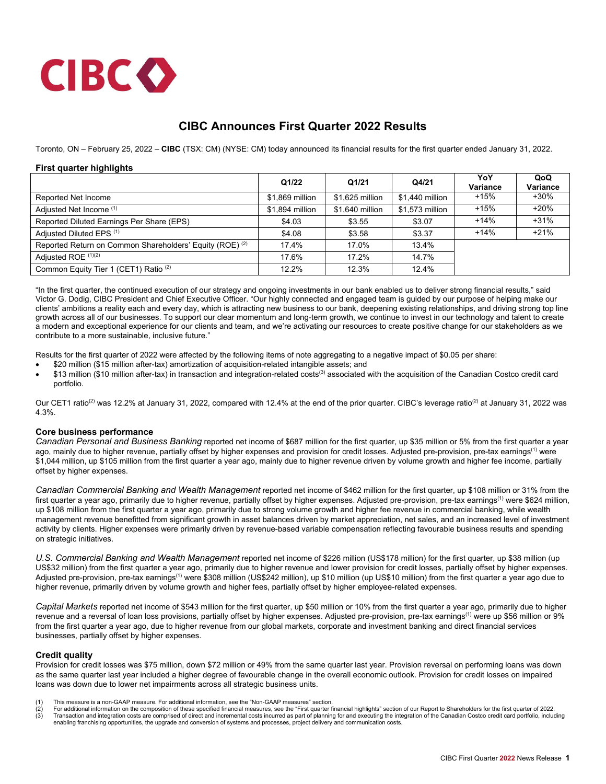

# **CIBC Announces First Quarter 2022 Results**

Toronto, ON – February 25, 2022 – **CIBC** (TSX: CM) (NYSE: CM) today announced its financial results for the first quarter ended January 31, 2022.

### **First quarter highlights**

|                                                                     | Q1/22           | Q1/21           | Q4/21           | YoY<br><b>Variance</b> | QoQ<br>Variance |
|---------------------------------------------------------------------|-----------------|-----------------|-----------------|------------------------|-----------------|
| Reported Net Income                                                 | \$1,869 million | \$1.625 million | \$1,440 million | $+15%$                 | $+30\%$         |
| Adjusted Net Income (1)                                             | \$1,894 million | \$1,640 million | \$1,573 million | $+15%$                 | $+20%$          |
| Reported Diluted Earnings Per Share (EPS)                           | \$4.03          | \$3.55          | \$3.07          | $+14%$                 | $+31%$          |
| Adjusted Diluted EPS (1)                                            | \$4.08          | \$3.58          | \$3.37          | $+14%$                 | $+21%$          |
| Reported Return on Common Shareholders' Equity (ROE) <sup>(2)</sup> | 17.4%           | 17.0%           | 13.4%           |                        |                 |
| Adjusted ROE (1)(2)                                                 | 17.6%           | 17.2%           | 14.7%           |                        |                 |
| Common Equity Tier 1 (CET1) Ratio <sup>(2)</sup>                    | 12.2%           | 12.3%           | 12.4%           |                        |                 |

"In the first quarter, the continued execution of our strategy and ongoing investments in our bank enabled us to deliver strong financial results," said Victor G. Dodig, CIBC President and Chief Executive Officer. "Our highly connected and engaged team is guided by our purpose of helping make our clients' ambitions a reality each and every day, which is attracting new business to our bank, deepening existing relationships, and driving strong top line growth across all of our businesses. To support our clear momentum and long-term growth, we continue to invest in our technology and talent to create a modern and exceptional experience for our clients and team, and we're activating our resources to create positive change for our stakeholders as we contribute to a more sustainable, inclusive future."

Results for the first quarter of 2022 were affected by the following items of note aggregating to a negative impact of \$0.05 per share:

- \$20 million (\$15 million after-tax) amortization of acquisition-related intangible assets; and
- \$13 million (\$10 million after-tax) in transaction and integration-related costs<sup>(3)</sup> associated with the acquisition of the Canadian Costco credit card portfolio.

Our CET1 ratio<sup>(2)</sup> was 12.2% at January 31, 2022, compared with 12.4% at the end of the prior quarter. CIBC's leverage ratio<sup>(2)</sup> at January 31, 2022 was 4.3%.

### **Core business performance**

*Canadian Personal and Business Banking* reported net income of \$687 million for the first quarter, up \$35 million or 5% from the first quarter a year ago, mainly due to higher revenue, partially offset by higher expenses and provision for credit losses. Adjusted pre-provision, pre-tax earnings<sup>(1)</sup> were \$1,044 million, up \$105 million from the first quarter a year ago, mainly due to higher revenue driven by volume growth and higher fee income, partially offset by higher expenses.

*Canadian Commercial Banking and Wealth Management* reported net income of \$462 million for the first quarter, up \$108 million or 31% from the first quarter a year ago, primarily due to higher revenue, partially offset by higher expenses. Adjusted pre-provision, pre-tax earnings<sup>(1)</sup> were \$624 million, up \$108 million from the first quarter a year ago, primarily due to strong volume growth and higher fee revenue in commercial banking, while wealth management revenue benefitted from significant growth in asset balances driven by market appreciation, net sales, and an increased level of investment activity by clients. Higher expenses were primarily driven by revenue-based variable compensation reflecting favourable business results and spending on strategic initiatives.

*U.S. Commercial Banking and Wealth Management* reported net income of \$226 million (US\$178 million) for the first quarter, up \$38 million (up US\$32 million) from the first quarter a year ago, primarily due to higher revenue and lower provision for credit losses, partially offset by higher expenses. Adjusted pre-provision, pre-tax earnings<sup>(1)</sup> were \$308 million (US\$242 million), up \$10 million (up US\$10 million) from the first quarter a year ago due to higher revenue, primarily driven by volume growth and higher fees, partially offset by higher employee-related expenses.

*Capital Markets* reported net income of \$543 million for the first quarter, up \$50 million or 10% from the first quarter a year ago, primarily due to higher revenue and a reversal of loan loss provisions, partially offset by higher expenses. Adjusted pre-provision, pre-tax earnings<sup>(1)</sup> were up \$56 million or 9% from the first quarter a year ago, due to higher revenue from our global markets, corporate and investment banking and direct financial services businesses, partially offset by higher expenses.

#### **Credit quality**

Provision for credit losses was \$75 million, down \$72 million or 49% from the same quarter last year. Provision reversal on performing loans was down as the same quarter last year included a higher degree of favourable change in the overall economic outlook. Provision for credit losses on impaired loans was down due to lower net impairments across all strategic business units.

- 
- (1) This measure is a non-GAAP measure. For additional information, see the "Non-GAAP measures" section.<br>(2) For additional information on the composition of these specified financial measures, see the "First quarter finan (2) For additional information on the composition of these specified financial measures, see the "First quarter financial highlights" section of our Report to Shareholders for the first quarter of 2022.<br>(3) Transaction and enabling franchising opportunities, the upgrade and conversion of systems and processes, project delivery and communication costs.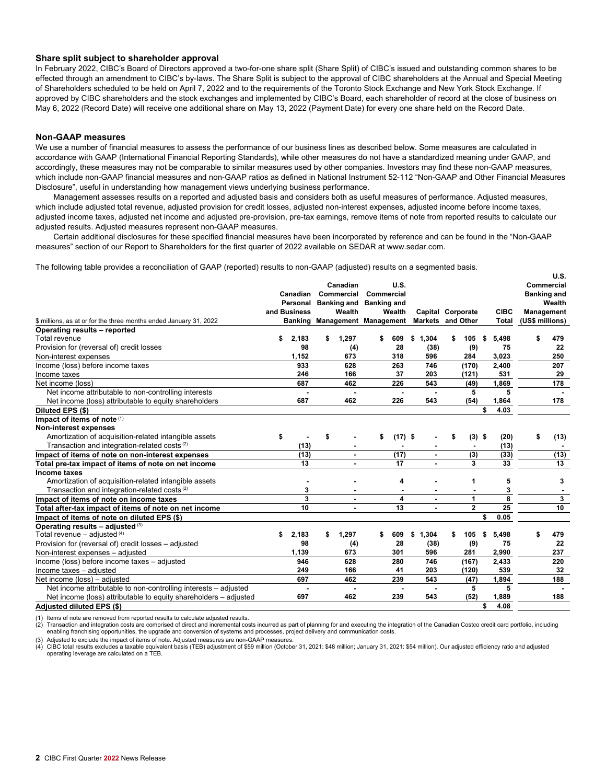## **Share split subject to shareholder approval**

In February 2022, CIBC's Board of Directors approved a two-for-one share split (Share Split) of CIBC's issued and outstanding common shares to be effected through an amendment to CIBC's by-laws. The Share Split is subject to the approval of CIBC shareholders at the Annual and Special Meeting of Shareholders scheduled to be held on April 7, 2022 and to the requirements of the Toronto Stock Exchange and New York Stock Exchange. If approved by CIBC shareholders and the stock exchanges and implemented by CIBC's Board, each shareholder of record at the close of business on May 6, 2022 (Record Date) will receive one additional share on May 13, 2022 (Payment Date) for every one share held on the Record Date.

# **Non-GAAP measures**

We use a number of financial measures to assess the performance of our business lines as described below. Some measures are calculated in accordance with GAAP (International Financial Reporting Standards), while other measures do not have a standardized meaning under GAAP, and accordingly, these measures may not be comparable to similar measures used by other companies. Investors may find these non-GAAP measures, which include non-GAAP financial measures and non-GAAP ratios as defined in National Instrument 52-112 "Non-GAAP and Other Financial Measures Disclosure", useful in understanding how management views underlying business performance.

Management assesses results on a reported and adjusted basis and considers both as useful measures of performance. Adjusted measures, which include adjusted total revenue, adjusted provision for credit losses, adjusted non-interest expenses, adjusted income before income taxes, adjusted income taxes, adjusted net income and adjusted pre-provision, pre-tax earnings, remove items of note from reported results to calculate our adjusted results. Adjusted measures represent non-GAAP measures.

Certain additional disclosures for these specified financial measures have been incorporated by reference and can be found in the "Non-GAAP measures" section of our Report to Shareholders for the first quarter of 2022 available on SEDAR at www.sedar.com.

The following table provides a reconciliation of GAAP (reported) results to non-GAAP (adjusted) results on a segmented basis.

|                                                                   |              |        |                         |                               |                |                   |    |              |    |                         |                 | U.S.               |
|-------------------------------------------------------------------|--------------|--------|-------------------------|-------------------------------|----------------|-------------------|----|--------------|----|-------------------------|-----------------|--------------------|
|                                                                   |              |        | Canadian                |                               | U.S.           |                   |    |              |    |                         |                 | Commercial         |
|                                                                   | Canadian     |        | Commercial              |                               | Commercial     |                   |    |              |    |                         |                 | <b>Banking and</b> |
|                                                                   | Personal     |        | Banking and Banking and |                               |                |                   |    |              |    |                         |                 | Wealth             |
|                                                                   | and Business | Wealth |                         | Wealth                        |                | Capital Corporate |    |              |    | <b>CIBC</b>             |                 | <b>Management</b>  |
| \$ millions, as at or for the three months ended January 31, 2022 |              |        |                         | Banking Management Management |                | Markets and Other |    |              |    | <b>Total</b>            | (US\$ millions) |                    |
| Operating results - reported                                      |              |        |                         |                               |                |                   |    |              |    |                         |                 |                    |
| Total revenue                                                     | 2,183        |        | 1,297                   | S                             | 609            | 1,304<br>\$       | \$ | 105          | S  | 5,498                   |                 | 479                |
| Provision for (reversal of) credit losses                         | 98           |        | (4)                     |                               | 28             | (38)              |    | (9)          |    | 75                      |                 | 22                 |
| Non-interest expenses                                             | 1,152        |        | 673                     |                               | 318            | 596               |    | 284          |    | 3,023                   |                 | 250                |
| Income (loss) before income taxes                                 | 933          |        | 628                     |                               | 263            | 746               |    | (170)        |    | 2,400                   |                 | 207                |
| Income taxes                                                      | 246          |        | 166                     |                               | 37             | 203               |    | (121)        |    | 531                     |                 | 29                 |
| Net income (loss)                                                 | 687          |        | 462                     |                               | 226            | 543               |    | (49)         |    | 1,869                   |                 | 178                |
| Net income attributable to non-controlling interests              |              |        |                         |                               | $\blacksquare$ |                   |    | 5            |    | 5                       |                 |                    |
| Net income (loss) attributable to equity shareholders             | 687          |        | 462                     |                               | 226            | 543               |    | (54)         |    | 1,864                   |                 | 178                |
| Diluted EPS (\$)                                                  |              |        |                         |                               |                |                   |    |              | \$ | 4.03                    |                 |                    |
| Impact of items of note (1)                                       |              |        |                         |                               |                |                   |    |              |    |                         |                 |                    |
| Non-interest expenses                                             |              |        |                         |                               |                |                   |    |              |    |                         |                 |                    |
| Amortization of acquisition-related intangible assets             | \$           | \$     |                         | \$                            | $(17)$ \$      |                   | S  | $(3)$ \$     |    | (20)                    | \$              | (13)               |
| Transaction and integration-related costs <sup>(2)</sup>          | (13)         |        |                         |                               |                |                   |    |              |    | (13)                    |                 |                    |
| Impact of items of note on non-interest expenses                  | (13)         |        |                         |                               | (17)           |                   |    | (3)          |    | (33)                    |                 | (13)               |
| Total pre-tax impact of items of note on net income               | 13           |        |                         |                               | 17             |                   |    | 3            |    | 33                      |                 | $\overline{13}$    |
| Income taxes                                                      |              |        |                         |                               |                |                   |    |              |    |                         |                 |                    |
| Amortization of acquisition-related intangible assets             |              |        |                         |                               | 4              |                   |    | 1            |    | 5                       |                 | 3                  |
| Transaction and integration-related costs <sup>(2)</sup>          | 3            |        |                         |                               |                |                   |    |              |    | 3                       |                 |                    |
| Impact of items of note on income taxes                           | 3            |        | $\blacksquare$          |                               | 4              |                   |    | 1            |    | $\overline{\mathbf{8}}$ |                 | 3                  |
| Total after-tax impact of items of note on net income             | 10           |        | $\blacksquare$          |                               | 13             |                   |    | $\mathbf{2}$ |    | 25                      |                 | 10                 |
| Impact of items of note on diluted EPS (\$)                       |              |        |                         |                               |                |                   |    |              | \$ | 0.05                    |                 |                    |
| Operating results $-$ adjusted $(3)$                              |              |        |                         |                               |                |                   |    |              |    |                         |                 |                    |
| Total revenue $-$ adjusted $(4)$                                  | \$<br>2,183  | S      | 1,297                   | \$                            | 609            | \$<br>1,304       | s  | 105          | \$ | 5,498                   | S               | 479                |
| Provision for (reversal of) credit losses - adjusted              | 98           |        | (4)                     |                               | 28             | (38)              |    | (9)          |    | 75                      |                 | 22                 |
| Non-interest expenses - adjusted                                  | 1,139        |        | 673                     |                               | 301            | 596               |    | 281          |    | 2,990                   |                 | 237                |
| Income (loss) before income taxes - adjusted                      | 946          |        | 628                     |                               | 280            | 746               |    | (167)        |    | 2,433                   |                 | 220                |
| Income taxes - adjusted                                           | 249          |        | 166                     |                               | 41             | 203               |    | (120)        |    | 539                     |                 | 32                 |
| Net income (loss) - adjusted                                      | 697          |        | 462                     |                               | 239            | 543               |    | (47)         |    | 1,894                   |                 | 188                |
| Net income attributable to non-controlling interests - adjusted   |              |        |                         |                               |                |                   |    | 5            |    | 5                       |                 |                    |
| Net income (loss) attributable to equity shareholders – adjusted  | 697          |        | 462                     |                               | 239            | 543               |    | (52)         |    | 1,889                   |                 | 188                |
| Adjusted diluted EPS (\$)                                         |              |        |                         |                               |                |                   |    |              | \$ | 4.08                    |                 |                    |

(1) Items of note are removed from reported results to calculate adjusted results.

(2) Transaction and integration costs are comprised of direct and incremental costs incurred as part of planning for and executing the integration of the Canadian Costco credit card portfolio, including enabling franchising opportunities, the upgrade and conversion of systems and processes, project delivery and communication costs.

Adjusted to exclude the impact of items of note. Adjusted measures are non-GAAP measures

(4) CIBC total results excludes a taxable equivalent basis (TEB) adjustment of \$59 million (October 31, 2021: \$48 million; January 31, 2021: \$54 million). Our adjusted efficiency ratio and adjusted operating leverage are calculated on a TEB.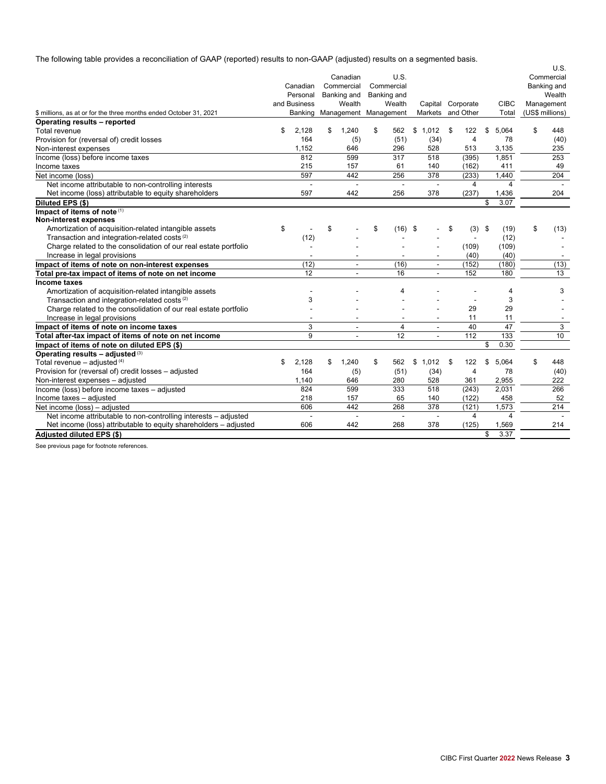The following table provides a reconciliation of GAAP (reported) results to non-GAAP (adjusted) results on a segmented basis.

|                                                                   |    |                               |                          |                |     |                          |                   |                         | U.S.            |
|-------------------------------------------------------------------|----|-------------------------------|--------------------------|----------------|-----|--------------------------|-------------------|-------------------------|-----------------|
|                                                                   |    |                               | Canadian                 | U.S.           |     |                          |                   |                         | Commercial      |
|                                                                   |    | Canadian                      | Commercial               | Commercial     |     |                          |                   |                         | Banking and     |
|                                                                   |    | Personal                      | Banking and              | Banking and    |     |                          |                   |                         | Wealth          |
|                                                                   |    | and Business                  | Wealth                   | Wealth         |     |                          | Capital Corporate | <b>CIBC</b>             | Management      |
| \$ millions, as at or for the three months ended October 31, 2021 |    | Banking Management Management |                          |                |     |                          | Markets and Other | Total                   | (US\$ millions) |
| Operating results - reported                                      |    |                               |                          |                |     |                          |                   |                         |                 |
| Total revenue                                                     | S  | 2.128                         | \$<br>1,240              | \$<br>562      | \$  | 1,012                    | \$<br>122         | \$<br>5.064             | \$<br>448       |
| Provision for (reversal of) credit losses                         |    | 164                           | (5)                      | (51)           |     | (34)                     | $\overline{4}$    | 78                      | (40)            |
| Non-interest expenses                                             |    | 1.152                         | 646                      | 296            |     | 528                      | 513               | 3.135                   | 235             |
| Income (loss) before income taxes                                 |    | 812                           | 599                      | 317            |     | 518                      | (395)             | 1,851                   | 253             |
| Income taxes                                                      |    | 215                           | 157                      | 61             |     | 140                      | (162)             | 411                     | 49              |
| Net income (loss)                                                 |    | 597                           | 442                      | 256            |     | 378                      | (233)             | 1,440                   | 204             |
| Net income attributable to non-controlling interests              |    |                               |                          |                |     |                          | 4                 | 4                       |                 |
| Net income (loss) attributable to equity shareholders             |    | 597                           | 442                      | 256            |     | 378                      | (237)             | 1,436                   | 204             |
| Diluted EPS (\$)                                                  |    |                               |                          |                |     |                          |                   | \$<br>3.07              |                 |
| Impact of items of note (1)                                       |    |                               |                          |                |     |                          |                   |                         |                 |
| Non-interest expenses                                             |    |                               |                          |                |     |                          |                   |                         |                 |
| Amortization of acquisition-related intangible assets             | \$ |                               | \$                       | \$<br>(16)     | -\$ |                          | \$<br>(3)         | \$<br>(19)              | \$<br>(13)      |
| Transaction and integration-related costs <sup>(2)</sup>          |    | (12)                          |                          |                |     |                          | $\blacksquare$    | (12)                    |                 |
| Charge related to the consolidation of our real estate portfolio  |    |                               |                          |                |     |                          | (109)             | (109)                   |                 |
| Increase in legal provisions                                      |    |                               |                          |                |     |                          | (40)              | (40)                    |                 |
| Impact of items of note on non-interest expenses                  |    | (12)                          | $\blacksquare$           | (16)           |     | $\blacksquare$           | (152)             | (180)                   | (13)            |
| Total pre-tax impact of items of note on net income               |    | 12                            |                          | 16             |     | $\blacksquare$           | 152               | 180                     | 13              |
| Income taxes                                                      |    |                               |                          |                |     |                          |                   |                         |                 |
| Amortization of acquisition-related intangible assets             |    |                               |                          | 4              |     |                          |                   | 4                       | 3               |
| Transaction and integration-related costs <sup>(2)</sup>          |    | 3                             |                          |                |     |                          |                   | 3                       |                 |
| Charge related to the consolidation of our real estate portfolio  |    |                               |                          |                |     |                          | 29                | 29                      |                 |
| Increase in legal provisions                                      |    |                               |                          |                |     |                          | 11                | 11                      |                 |
| Impact of items of note on income taxes                           |    | 3                             | $\overline{\phantom{a}}$ | $\overline{4}$ |     | $\overline{\phantom{a}}$ | 40                | 47                      | 3               |
| Total after-tax impact of items of note on net income             |    | 9                             |                          | 12             |     | $\blacksquare$           | 112               | 133                     | 10              |
| Impact of items of note on diluted EPS (\$)                       |    |                               |                          |                |     |                          |                   | \$<br>0.30              |                 |
| Operating results - adjusted (3)                                  |    |                               |                          |                |     |                          |                   |                         |                 |
| Total revenue $-$ adjusted $(4)$                                  | \$ | 2,128                         | \$<br>1,240              | \$<br>562      | \$  | 1,012                    | \$<br>122         | \$<br>5,064             | \$<br>448       |
| Provision for (reversal of) credit losses - adjusted              |    | 164                           | (5)                      | (51)           |     | (34)                     | 4                 | 78                      | (40)            |
| Non-interest expenses - adjusted                                  |    | 1.140                         | 646                      | 280            |     | 528                      | 361               | 2,955                   | 222             |
| Income (loss) before income taxes - adjusted                      |    | 824                           | 599                      | 333            |     | 518                      | (243)             | 2,031                   | 266             |
| Income taxes - adjusted                                           |    | 218                           | 157                      | 65             |     | 140                      | (122)             | 458                     | 52              |
| Net income (loss) - adjusted                                      |    | 606                           | 442                      | 268            |     | 378                      | (121)             | 1.573                   | 214             |
| Net income attributable to non-controlling interests - adjusted   |    | $\overline{\phantom{a}}$      | ÷,                       | $\overline{a}$ |     | ÷,                       | 4                 | $\overline{\mathbf{4}}$ |                 |
| Net income (loss) attributable to equity shareholders - adjusted  |    | 606                           | 442                      | 268            |     | 378                      | (125)             | 1,569                   | 214             |
| Adjusted diluted EPS (\$)                                         |    |                               |                          |                |     |                          |                   | \$<br>3.37              |                 |

See previous page for footnote references.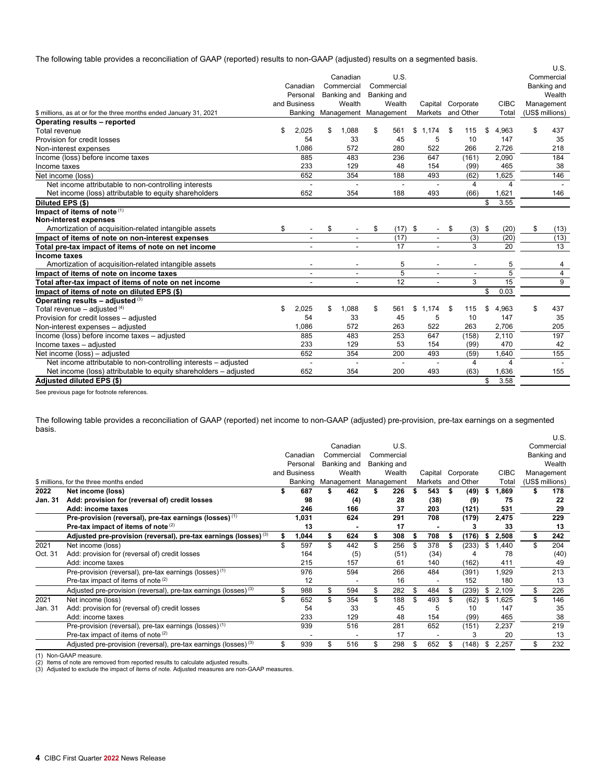The following table provides a reconciliation of GAAP (reported) results to non-GAAP (adjusted) results on a segmented basis.

|                                                                   |                          |            |                          |            |                 |                          |    |                          |                         | U.S.            |
|-------------------------------------------------------------------|--------------------------|------------|--------------------------|------------|-----------------|--------------------------|----|--------------------------|-------------------------|-----------------|
|                                                                   |                          |            | Canadian                 |            | U.S.            |                          |    |                          |                         | Commercial      |
|                                                                   | Canadian                 | Commercial |                          | Commercial |                 |                          |    |                          |                         | Banking and     |
|                                                                   | Personal                 |            | Banking and              |            | Banking and     |                          |    |                          |                         | Wealth          |
|                                                                   | and Business             |            | Wealth                   |            | Wealth          | Capital Corporate        |    |                          | <b>CIBC</b>             | Management      |
| \$ millions, as at or for the three months ended January 31, 2021 | Banking                  |            | Management Management    |            |                 | Markets and Other        |    |                          | Total                   | (US\$ millions) |
| Operating results - reported                                      |                          |            |                          |            |                 |                          |    |                          |                         |                 |
| Total revenue                                                     | \$<br>2,025              | \$         | 1,088                    | \$         | 561             | \$<br>1.174              | \$ | 115                      | \$<br>4.963             | \$<br>437       |
| Provision for credit losses                                       | 54                       |            | 33                       |            | 45              | 5                        |    | 10                       | 147                     | 35              |
| Non-interest expenses                                             | 1.086                    |            | 572                      |            | 280             | 522                      |    | 266                      | 2.726                   | 218             |
| Income (loss) before income taxes                                 | 885                      |            | 483                      |            | 236             | 647                      |    | (161)                    | 2,090                   | 184             |
| Income taxes                                                      | 233                      |            | 129                      |            | 48              | 154                      |    | (99)                     | 465                     | 38              |
| Net income (loss)                                                 | 652                      |            | 354                      |            | 188             | 493                      |    | (62)                     | 1,625                   | 146             |
| Net income attributable to non-controlling interests              |                          |            |                          |            | $\blacksquare$  |                          |    | 4                        | $\overline{\mathbf{4}}$ |                 |
| Net income (loss) attributable to equity shareholders             | 652                      |            | 354                      |            | 188             | 493                      |    | (66)                     | 1,621                   | 146             |
| Diluted EPS (\$)                                                  |                          |            |                          |            |                 |                          |    |                          | \$<br>3.55              |                 |
| Impact of items of note (1)                                       |                          |            |                          |            |                 |                          |    |                          |                         |                 |
| Non-interest expenses                                             |                          |            |                          |            |                 |                          |    |                          |                         |                 |
| Amortization of acquisition-related intangible assets             | \$                       | \$         |                          | \$         | $(17)$ \$       | $\overline{\phantom{a}}$ | \$ | (3)                      | \$<br>(20)              | \$<br>(13)      |
| Impact of items of note on non-interest expenses                  | $\overline{\phantom{a}}$ |            |                          |            | (17)            | $\overline{\phantom{a}}$ |    | $\overline{(3)}$         | (20)                    | (13)            |
| Total pre-tax impact of items of note on net income               |                          |            |                          |            | 17              |                          |    | 3                        | 20                      | $\overline{13}$ |
| Income taxes                                                      |                          |            |                          |            |                 |                          |    |                          |                         |                 |
| Amortization of acquisition-related intangible assets             | $\overline{\phantom{a}}$ |            | $\overline{\phantom{a}}$ |            | 5               | $\overline{\phantom{a}}$ |    | $\overline{\phantom{a}}$ | 5                       | 4               |
| Impact of items of note on income taxes                           | $\blacksquare$           |            | $\blacksquare$           |            | $\overline{5}$  | $\blacksquare$           |    | $\overline{\phantom{a}}$ | $\overline{5}$          | 4               |
| Total after-tax impact of items of note on net income             |                          |            |                          |            | $\overline{12}$ | $\overline{\phantom{a}}$ |    | 3                        | 15                      | 9               |
| Impact of items of note on diluted EPS (\$)                       |                          |            |                          |            |                 |                          |    |                          | \$<br>0.03              |                 |
| Operating results - adjusted (3)                                  |                          |            |                          |            |                 |                          |    |                          |                         |                 |
| Total revenue - adjusted (4)                                      | \$<br>2.025              | \$         | 1.088                    | \$         | 561             | \$<br>1.174              | S  | 115                      | \$<br>4.963             | \$<br>437       |
| Provision for credit losses - adjusted                            | 54                       |            | 33                       |            | 45              | 5                        |    | 10                       | 147                     | 35              |
| Non-interest expenses - adjusted                                  | 1,086                    |            | 572                      |            | 263             | 522                      |    | 263                      | 2.706                   | 205             |
| Income (loss) before income taxes - adjusted                      | 885                      |            | 483                      |            | 253             | 647                      |    | (158)                    | 2,110                   | 197             |
| Income taxes - adjusted                                           | 233                      |            | 129                      |            | 53              | 154                      |    | (99)                     | 470                     | 42              |
| Net income (loss) - adjusted                                      | 652                      |            | 354                      |            | 200             | 493                      |    | (59)                     | 1,640                   | 155             |
| Net income attributable to non-controlling interests – adjusted   | $\blacksquare$           |            |                          |            | $\blacksquare$  |                          |    | 4                        | $\overline{\mathbf{4}}$ |                 |
| Net income (loss) attributable to equity shareholders – adjusted  | 652                      |            | 354                      |            | 200             | 493                      |    | (63)                     | 1,636                   | 155             |
| Adjusted diluted EPS (\$)                                         |                          |            |                          |            |                 |                          |    |                          | \$<br>3.58              |                 |

See previous page for footnote references.

The following table provides a reconciliation of GAAP (reported) net income to non-GAAP (adjusted) pre-provision, pre-tax earnings on a segmented basis.

|                |                                                                             |                      |              |             |                               |    |             |    |                   |   |           |             |            | U.S.            |
|----------------|-----------------------------------------------------------------------------|----------------------|--------------|-------------|-------------------------------|----|-------------|----|-------------------|---|-----------|-------------|------------|-----------------|
|                |                                                                             | Canadian<br>Personal |              |             | Canadian                      |    | U.S.        |    |                   |   |           |             |            | Commercial      |
|                |                                                                             |                      |              |             | Commercial                    |    | Commercial  |    |                   |   |           |             |            | Banking and     |
|                |                                                                             |                      |              | Banking and |                               |    | Banking and |    |                   |   |           |             |            | Wealth          |
|                |                                                                             |                      | and Business | Wealth      |                               |    | Wealth      |    | Capital Corporate |   |           | <b>CIBC</b> | Management |                 |
|                | \$ millions, for the three months ended                                     |                      |              |             | Banking Management Management |    |             |    | Markets           |   | and Other | Total       |            | (US\$ millions) |
| 2022           | Net income (loss)                                                           |                      | 687          |             | 462                           |    | 226         | ъ  | 543               | S | (49)      | \$<br>1,869 |            | 178             |
| <b>Jan. 31</b> | Add: provision for (reversal of) credit losses                              |                      | 98           |             | (4)                           |    | 28          |    | (38)              |   | (9)       | 75          |            | 22              |
|                | Add: income taxes                                                           |                      |              |             |                               |    |             |    |                   |   |           |             |            |                 |
|                |                                                                             |                      | 246          |             | 166                           |    | 37          |    | 203               |   | (121)     | 531         |            | 29              |
|                | Pre-provision (reversal), pre-tax earnings (losses) <sup>(1)</sup>          |                      | 1,031        |             | 624                           |    | 291         |    | 708               |   | (179)     | 2,475       |            | 229             |
|                | Pre-tax impact of items of note $(2)$                                       |                      | 13           |             |                               |    | 17          |    |                   |   |           | 33          |            | 13              |
|                | Adjusted pre-provision (reversal), pre-tax earnings (losses) $^{(3)}$       |                      | 1,044        |             | 624                           |    | 308         |    | 708               |   | (176)     | \$<br>2,508 |            | 242             |
| 2021           | Net income (loss)                                                           |                      | 597          | \$          | 442                           | \$ | 256         |    | 378               |   | (233)     | \$<br>1,440 | \$.        | 204             |
| Oct. 31        | Add: provision for (reversal of) credit losses                              |                      | 164          |             | (5)                           |    | (51)        |    | (34)              |   |           | 78          |            | (40)            |
|                | Add: income taxes                                                           |                      | 215          |             | 157                           |    | 61          |    | 140               |   | (162)     | 411         |            | 49              |
|                | Pre-provision (reversal), pre-tax earnings (losses) <sup>(1)</sup>          |                      | 976          |             | 594                           |    | 266         |    | 484               |   | (391)     | 1,929       |            | 213             |
|                | Pre-tax impact of items of note $(2)$                                       |                      | 12           |             |                               |    | 16          |    |                   |   | 152       | 180         |            | 13              |
|                | Adjusted pre-provision (reversal), pre-tax earnings (losses) <sup>(3)</sup> | \$                   | 988          | \$          | 594                           | \$ | 282         | \$ | 484               | S | (239)     | \$<br>2,109 | \$         | 226             |
| 2021           | Net income (loss)                                                           | \$                   | 652          | \$.         | 354                           | \$ | 188         |    | 493               |   | (62)      | \$<br>1,625 | \$         | 146             |
| Jan. 31        | Add: provision for (reversal of) credit losses                              |                      | 54           |             | 33                            |    | 45          |    | 5                 |   | 10        | 147         |            | 35              |
|                | Add: income taxes                                                           |                      | 233          |             | 129                           |    | 48          |    | 154               |   | (99)      | 465         |            | 38              |
|                | Pre-provision (reversal), pre-tax earnings (losses) <sup>(1)</sup>          |                      | 939          |             | 516                           |    | 281         |    | 652               |   | (151)     | 2,237       |            | 219             |
|                | Pre-tax impact of items of note $(2)$                                       |                      |              |             |                               |    | 17          |    |                   |   |           | 20          |            | 13              |
|                | Adjusted pre-provision (reversal), pre-tax earnings (losses) <sup>(3)</sup> | \$                   | 939          |             | 516                           |    | 298         |    | 652               |   | (148)     | \$<br>2,257 |            | 232             |
|                |                                                                             |                      |              |             |                               |    |             |    |                   |   |           |             |            |                 |

(1) Non-GAAP measure.<br>(2) Items of note are removed from reported results to calculate adjusted results.<br>(3) Adjusted to exclude the impact of items of note. Adjusted measures are non-GAAP measures.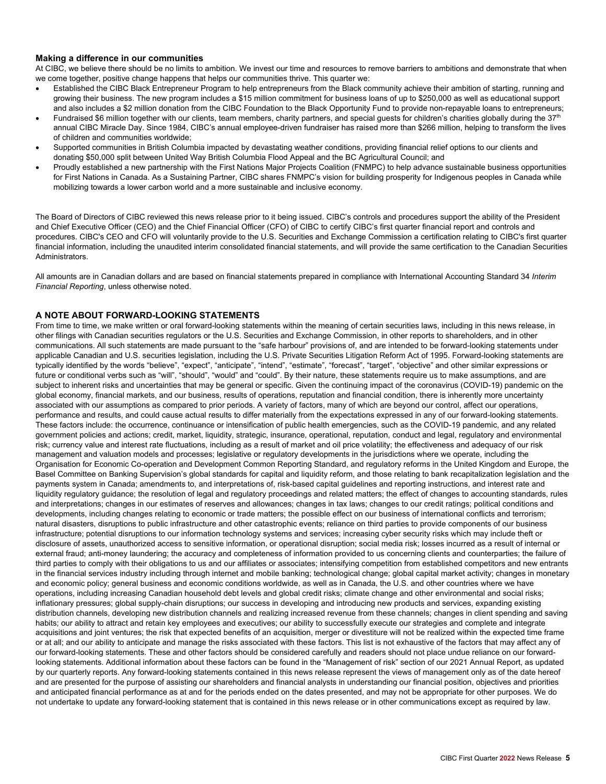## **Making a difference in our communities**

At CIBC, we believe there should be no limits to ambition. We invest our time and resources to remove barriers to ambitions and demonstrate that when we come together, positive change happens that helps our communities thrive. This quarter we:

- Established the CIBC Black Entrepreneur Program to help entrepreneurs from the Black community achieve their ambition of starting, running and growing their business. The new program includes a \$15 million commitment for business loans of up to \$250,000 as well as educational support and also includes a \$2 million donation from the CIBC Foundation to the Black Opportunity Fund to provide non-repayable loans to entrepreneurs;
- Fundraised \$6 million together with our clients, team members, charity partners, and special guests for children's charities globally during the 37<sup>th</sup> annual CIBC Miracle Day. Since 1984, CIBC's annual employee-driven fundraiser has raised more than \$266 million, helping to transform the lives of children and communities worldwide;
- Supported communities in British Columbia impacted by devastating weather conditions, providing financial relief options to our clients and donating \$50,000 split between United Way British Columbia Flood Appeal and the BC Agricultural Council; and
- Proudly established a new partnership with the First Nations Major Projects Coalition (FNMPC) to help advance sustainable business opportunities for First Nations in Canada. As a Sustaining Partner, CIBC shares FNMPC's vision for building prosperity for Indigenous peoples in Canada while mobilizing towards a lower carbon world and a more sustainable and inclusive economy.

The Board of Directors of CIBC reviewed this news release prior to it being issued. CIBC's controls and procedures support the ability of the President and Chief Executive Officer (CEO) and the Chief Financial Officer (CFO) of CIBC to certify CIBC's first quarter financial report and controls and procedures. CIBC's CEO and CFO will voluntarily provide to the U.S. Securities and Exchange Commission a certification relating to CIBC's first quarter financial information, including the unaudited interim consolidated financial statements, and will provide the same certification to the Canadian Securities Administrators.

All amounts are in Canadian dollars and are based on financial statements prepared in compliance with International Accounting Standard 34 *Interim Financial Reporting*, unless otherwise noted.

# **A NOTE ABOUT FORWARD-LOOKING STATEMENTS**

From time to time, we make written or oral forward-looking statements within the meaning of certain securities laws, including in this news release, in other filings with Canadian securities regulators or the U.S. Securities and Exchange Commission, in other reports to shareholders, and in other communications. All such statements are made pursuant to the "safe harbour" provisions of, and are intended to be forward-looking statements under applicable Canadian and U.S. securities legislation, including the U.S. Private Securities Litigation Reform Act of 1995. Forward-looking statements are typically identified by the words "believe", "expect", "anticipate", "intend", "estimate", "forecast", "target", "objective" and other similar expressions or future or conditional verbs such as "will", "should", "would" and "could". By their nature, these statements require us to make assumptions, and are subject to inherent risks and uncertainties that may be general or specific. Given the continuing impact of the coronavirus (COVID-19) pandemic on the global economy, financial markets, and our business, results of operations, reputation and financial condition, there is inherently more uncertainty associated with our assumptions as compared to prior periods. A variety of factors, many of which are beyond our control, affect our operations, performance and results, and could cause actual results to differ materially from the expectations expressed in any of our forward-looking statements. These factors include: the occurrence, continuance or intensification of public health emergencies, such as the COVID-19 pandemic, and any related government policies and actions; credit, market, liquidity, strategic, insurance, operational, reputation, conduct and legal, regulatory and environmental risk; currency value and interest rate fluctuations, including as a result of market and oil price volatility; the effectiveness and adequacy of our risk management and valuation models and processes; legislative or regulatory developments in the jurisdictions where we operate, including the Organisation for Economic Co-operation and Development Common Reporting Standard, and regulatory reforms in the United Kingdom and Europe, the Basel Committee on Banking Supervision's global standards for capital and liquidity reform, and those relating to bank recapitalization legislation and the payments system in Canada; amendments to, and interpretations of, risk-based capital guidelines and reporting instructions, and interest rate and liquidity regulatory guidance; the resolution of legal and regulatory proceedings and related matters; the effect of changes to accounting standards, rules and interpretations; changes in our estimates of reserves and allowances; changes in tax laws; changes to our credit ratings; political conditions and developments, including changes relating to economic or trade matters; the possible effect on our business of international conflicts and terrorism; natural disasters, disruptions to public infrastructure and other catastrophic events; reliance on third parties to provide components of our business infrastructure; potential disruptions to our information technology systems and services; increasing cyber security risks which may include theft or disclosure of assets, unauthorized access to sensitive information, or operational disruption; social media risk; losses incurred as a result of internal or external fraud; anti-money laundering; the accuracy and completeness of information provided to us concerning clients and counterparties; the failure of third parties to comply with their obligations to us and our affiliates or associates; intensifying competition from established competitors and new entrants in the financial services industry including through internet and mobile banking; technological change; global capital market activity; changes in monetary and economic policy; general business and economic conditions worldwide, as well as in Canada, the U.S. and other countries where we have operations, including increasing Canadian household debt levels and global credit risks; climate change and other environmental and social risks; inflationary pressures; global supply-chain disruptions; our success in developing and introducing new products and services, expanding existing distribution channels, developing new distribution channels and realizing increased revenue from these channels; changes in client spending and saving habits; our ability to attract and retain key employees and executives; our ability to successfully execute our strategies and complete and integrate acquisitions and joint ventures; the risk that expected benefits of an acquisition, merger or divestiture will not be realized within the expected time frame or at all; and our ability to anticipate and manage the risks associated with these factors. This list is not exhaustive of the factors that may affect any of our forward-looking statements. These and other factors should be considered carefully and readers should not place undue reliance on our forwardlooking statements. Additional information about these factors can be found in the "Management of risk" section of our 2021 Annual Report, as updated by our quarterly reports. Any forward-looking statements contained in this news release represent the views of management only as of the date hereof and are presented for the purpose of assisting our shareholders and financial analysts in understanding our financial position, objectives and priorities and anticipated financial performance as at and for the periods ended on the dates presented, and may not be appropriate for other purposes. We do not undertake to update any forward-looking statement that is contained in this news release or in other communications except as required by law.